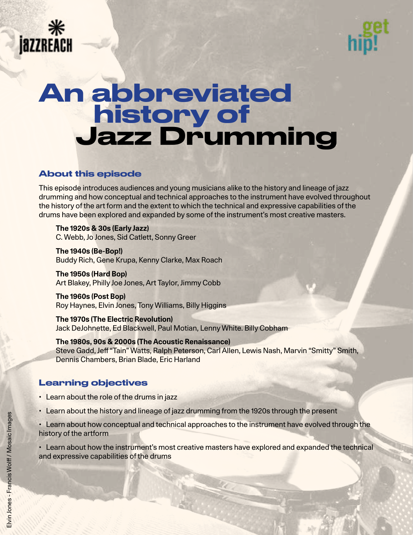



# An abbreviated **history of** Jazz Drumming

# About this episode

This episode introduces audiences and young musicians alike to the history and lineage of jazz drumming and how conceptual and technical approaches to the instrument have evolved throughout the history of the art form and the extent to which the technical and expressive capabilities of the drums have been explored and expanded by some of the instrument's most creative masters.

**The 1920s & 30s (Early Jazz)** C. Webb, Jo Jones, Sid Catlett, Sonny Greer

**The 1940s (Be-Bop!)** Buddy Rich, Gene Krupa, Kenny Clarke, Max Roach

**The 1950s (Hard Bop)** Art Blakey, Philly Joe Jones, Art Taylor, Jimmy Cobb

**The 1960s (Post Bop)** Roy Haynes, Elvin Jones, Tony Williams, Billy Higgins

**The 1970s (The Electric Revolution)** Jack DeJohnette, Ed Blackwell, Paul Motian, Lenny White. Billy Cobham

**The 1980s, 90s & 2000s (The Acoustic Renaissance)** Steve Gadd, Jeff "Tain" Watts, Ralph Peterson, Carl Allen, Lewis Nash, Marvin "Smitty" Smith, Dennis Chambers, Brian Blade, Eric Harland

# Learning objectives

- Learn about the role of the drums in jazz
- Learn about the history and lineage of jazz drumming from the 1920s through the present

• Learn about how conceptual and technical approaches to the instrument have evolved through the history of the artform

• Learn about how the instrument's most creative masters have explored and expanded the technical and expressive capabilities of the drums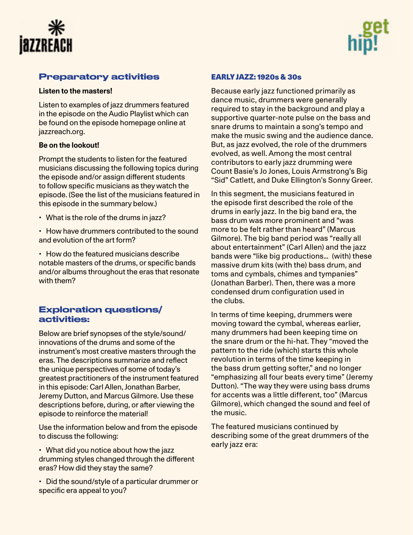



# Preparatory activities

#### **Listen to the masters!**

Listen to examples of jazz drummers featured in the episode on the Audio Playlist which can be found on the episode homepage online at jazzreach.org.

# **Be on the lookout!**

Prompt the students to listen for the featured musicians discussing the following topics during the episode and/or assign different students to follow specific musicians as they watch the episode. (See the list of the musicians featured in this episode in the summary below.)

- What is the role of the drums in jazz?
- How have drummers contributed to the sound and evolution of the art form?

• How do the featured musicians describe notable masters of the drums, or specific bands and/or albums throughout the eras that resonate with them?

# Exploration questions/ activities:

Below are brief synopses of the style/sound/ innovations of the drums and some of the instrument's most creative masters through the eras. The descriptions summarize and reflect the unique perspectives of some of today's greatest practitioners of the instrument featured in this episode: Carl Allen, Jonathan Barber, Jeremy Dutton, and Marcus Gilmore. Use these descriptions before, during, or after viewing the episode to reinforce the material!

Use the information below and from the episode to discuss the following:

• What did you notice about how the jazz drumming styles changed through the different eras? How did they stay the same?

• Did the sound/style of a particular drummer or specific era appeal to you?

# EARLY JAZZ: 1920s & 30s

Because early jazz functioned primarily as dance music, drummers were generally required to stay in the background and play a supportive quarter-note pulse on the bass and snare drums to maintain a song's tempo and make the music swing and the audience dance. But, as jazz evolved, the role of the drummers evolved, as well. Among the most central contributors to early jazz drumming were Count Basie's Jo Jones, Louis Armstrong's Big "Sid" Catlett, and Duke Ellington's Sonny Greer.

In this segment, the musicians featured in the episode first described the role of the drums in early jazz. In the big band era, the bass drum was more prominent and "was more to be felt rather than heard" (Marcus Gilmore). The big band period was "really all about entertainment" (Carl Allen) and the jazz bands were "like big productions… (with) these massive drum kits (with the) bass drum, and toms and cymbals, chimes and tympanies" (Jonathan Barber). Then, there was a more condensed drum configuration used in the clubs.

In terms of time keeping, drummers were moving toward the cymbal, whereas earlier, many drummers had been keeping time on the snare drum or the hi-hat. They "moved the pattern to the ride (which) starts this whole revolution in terms of the time keeping in the bass drum getting softer," and no longer "emphasizing all four beats every time" (Jeremy Dutton). "The way they were using bass drums for accents was a little different, too" (Marcus Gilmore), which changed the sound and feel of the music.

The featured musicians continued by describing some of the great drummers of the early jazz era: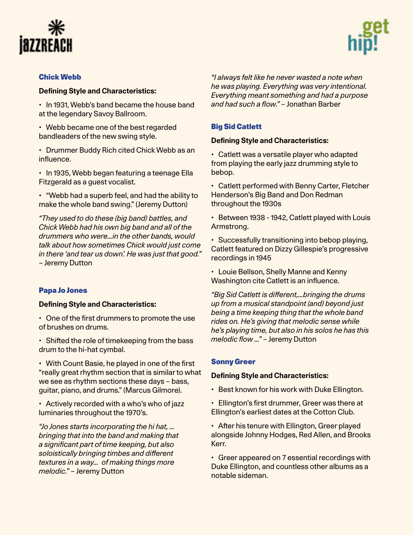



#### [Chick Webb](https://en.wikipedia.org/wiki/Chick_Webb)

#### **Defining Style and Characteristics:**

• In 1931, Webb's band became the house band at the legendary Savoy Ballroom.

• Webb became one of the best regarded bandleaders of the new swing style.

• Drummer Buddy Rich cited Chick Webb as an influence.

• In 1935, Webb began featuring a teenage Ella Fitzgerald as a guest vocalist.

• "Webb had a superb feel, and had the ability to make the whole band swing." (Jeremy Dutton)

*"They used to do these (big band) battles, and Chick Webb had his own big band and all of the drummers who were…in the other bands, would talk about how sometimes Chick would just come in there 'and tear us down'. He was just that good."* – Jeremy Dutton

#### [Papa Jo Jones](https://en.wikipedia.org/wiki/Jo_Jones)

#### **Defining Style and Characteristics:**

• One of the first drummers to promote the use of brushes on drums.

• Shifted the role of timekeeping from the bass drum to the hi-hat cymbal.

• With Count Basie, he played in one of the first "really great rhythm section that is similar to what we see as rhythm sections these days – bass, guitar, piano, and drums." (Marcus Gilmore).

• Actively recorded with a who's who of jazz luminaries throughout the 1970's.

*"Jo Jones starts incorporating the hi hat, … bringing that into the band and making that a significant part of time keeping, but also soloistically bringing timbes and different textures in a way… of making things more melodic."* – Jeremy Dutton

*"I always felt like he never wasted a note when he was playing. Everything was very intentional. Everything meant something and had a purpose and had such a flow."* – Jonathan Barber

#### [Big Sid Catlett](https://en.wikipedia.org/wiki/Sid_Catlett)

#### **Defining Style and Characteristics:**

• Catlett was a versatile player who adapted from playing the early jazz drumming style to bebop.

• Catlett performed with Benny Carter, Fletcher Henderson's Big Band and Don Redman throughout the 1930s

• Between 1938 - 1942, Catlett played with Louis Armstrong.

• Successfully transitioning into bebop playing, Catlett featured on Dizzy Gillespie's progressive recordings in 1945

• Louie Bellson, Shelly Manne and Kenny Washington cite Catlett is an influence.

*"Big Sid Catlett is different,…bringing the drums up from a musical standpoint (and) beyond just being a time keeping thing that the whole band rides on. He's giving that melodic sense while he's playing time, but also in his solos he has this melodic flow …"* – Jeremy Dutton

#### [Sonny Gree](https://en.wikipedia.org/wiki/Sonny_Greer)r

#### **Defining Style and Characteristics:**

• Best known for his work with Duke Ellington.

• Ellington's first drummer, Greer was there at Ellington's earliest dates at the Cotton Club.

• After his tenure with Ellington, Greer played alongside Johnny Hodges, Red Allen, and Brooks Kerr.

• Greer appeared on 7 essential recordings with Duke Ellington, and countless other albums as a notable sideman.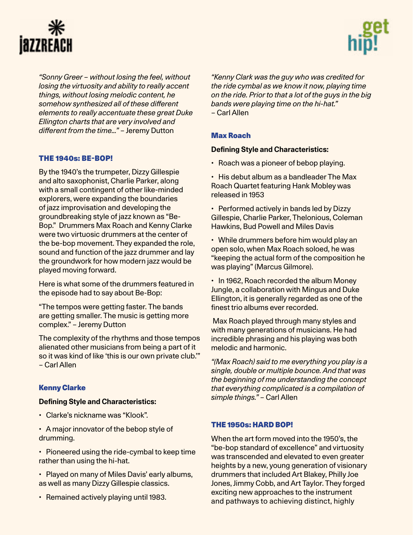



*"Sonny Greer – without losing the feel, without losing the virtuosity and ability to really accent things, without losing melodic content, he somehow synthesized all of these different elements to really accentuate these great Duke Ellington charts that are very involved and different from the time…"* – Jeremy Dutton

# THE 1940s: BE-BOP!

By the 1940's the trumpeter, Dizzy Gillespie and alto saxophonist, Charlie Parker, along with a small contingent of other like-minded explorers, were expanding the boundaries of jazz improvisation and developing the groundbreaking style of jazz known as "Be-Bop." Drummers Max Roach and Kenny Clarke were two virtuosic drummers at the center of the be-bop movement. They expanded the role, sound and function of the jazz drummer and lay the groundwork for how modern jazz would be played moving forward.

Here is what some of the drummers featured in the episode had to say about Be-Bop:

"The tempos were getting faster. The bands are getting smaller. The music is getting more complex." – Jeremy Dutton

The complexity of the rhythms and those tempos alienated other musicians from being a part of it so it was kind of like 'this is our own private club.'" – Carl Allen

# [Kenny Clarke](https://en.wikipedia.org/wiki/Kenny_Clarke)

#### **Defining Style and Characteristics:**

- Clarke's nickname was "Klook".
- A major innovator of the bebop style of drumming.
- Pioneered using the ride-cymbal to keep time rather than using the hi-hat.
- Played on many of Miles Davis' early albums, as well as many Dizzy Gillespie classics.
- Remained actively playing until 1983.

*"Kenny Clark was the guy who was credited for the ride cymbal as we know it now, playing time on the ride. Prior to that a lot of the guys in the big bands were playing time on the hi-hat."*  – Carl Allen

# [Max Roach](https://en.wikipedia.org/wiki/Max_Roach)

#### **[Defining Style and Characteristics:](https://en.wikipedia.org/wiki/Max_Roach)**

- Roach was a pioneer of bebop playing.
- His debut album as a bandleader The Max Roach Quartet featuring Hank Mobley was released in 1953
- Performed actively in bands led by Dizzy Gillespie, Charlie Parker, Thelonious, Coleman Hawkins, Bud Powell and Miles Davis
- While drummers before him would play an open solo, when Max Roach soloed, he was "keeping the actual form of the composition he was playing" (Marcus Gilmore).
- In 1962, Roach recorded the album Money Jungle, a collaboration with Mingus and Duke Ellington, it is generally regarded as one of the finest trio albums ever recorded.

 Max Roach played through many styles and with many generations of musicians. He had incredible phrasing and his playing was both melodic and harmonic.

*"(Max Roach) said to me everything you play is a single, double or multiple bounce. And that was the beginning of me understanding the concept that everything complicated is a compilation of simple things."* – Carl Allen

# THE 1950s: HARD BOP!

When the art form moved into the 1950's, the "be-bop standard of excellence" and virtuosity was transcended and elevated to even greater heights by a new, young generation of visionary drummers that included Art Blakey, Philly Joe Jones, Jimmy Cobb, and Art Taylor. They forged exciting new approaches to the instrument and pathways to achieving distinct, highly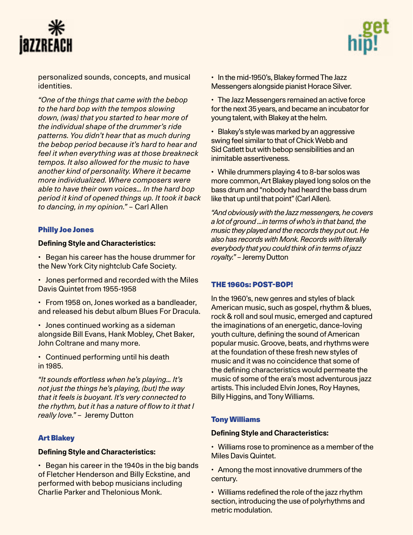



personalized sounds, concepts, and musical identities.

*"One of the things that came with the bebop to the hard bop with the tempos slowing down, (was) that you started to hear more of the individual shape of the drummer's ride patterns. You didn't hear that as much during the bebop period because it's hard to hear and feel it when everything was at those breakneck tempos. It also allowed for the music to have another kind of personality. Where it became more individualized. Where composers were able to have their own voices… In the hard bop period it kind of opened things up. It took it back to dancing, in my opinion."* – Carl Allen

# [Philly Joe Jones](https://en.wikipedia.org/wiki/Philly_Joe_Jones)

#### **Defining Style and Characteristics:**

• Began his career has the house drummer for the New York City nightclub Cafe Society.

• Jones performed and recorded with the Miles Davis Quintet from 1955-1958

• From 1958 on, Jones worked as a bandleader, and released his debut album Blues For Dracula.

• Jones continued working as a sideman alongside Bill Evans, Hank Mobley, Chet Baker, John Coltrane and many more.

• Continued performing until his death in 1985.

*"It sounds effortless when he's playing… It's not just the things he's playing, (but) the way that it feels is buoyant. It's very connected to the rhythm, but it has a nature of flow to it that I really love."* – Jeremy Dutton

# [Art Blakey](https://en.wikipedia.org/wiki/Art_Blakey)

#### **Defining Style and Characteristics:**

• Began his career in the 1940s in the big bands of Fletcher Henderson and Billy Eckstine, and performed with bebop musicians including Charlie Parker and Thelonious Monk.

• In the mid-1950's, Blakey formed The Jazz Messengers alongside pianist Horace Silver.

• The Jazz Messengers remained an active force for the next 35 years, and became an incubator for young talent, with Blakey at the helm.

• Blakey's style was marked by an aggressive swing feel similar to that of Chick Webb and Sid Catlett but with bebop sensibilities and an inimitable assertiveness.

• While drummers playing 4 to 8-bar solos was more common, Art Blakey played long solos on the bass drum and "nobody had heard the bass drum like that up until that point" (Carl Allen).

*"And obviously with the Jazz messengers, he covers a lot of ground …in terms of who's in that band, the music they played and the records they put out. He also has records with Monk. Records with literally everybody that you could think of in terms of jazz royalty."* – Jeremy Dutton

#### THE 1960s: POST-BOP!

In the 1960's, new genres and styles of black American music, such as gospel, rhythm & blues, rock & roll and soul music, emerged and captured the imaginations of an energetic, dance-loving youth culture, defining the sound of American popular music. Groove, beats, and rhythms were at the foundation of these fresh new styles of music and it was no coincidence that some of the defining characteristics would permeate the music of some of the era's most adventurous jazz artists. This included Elvin Jones, Roy Haynes, Billy Higgins, and Tony Williams.

# [Tony Williams](https://en.wikipedia.org/wiki/Tony_Williams_(drummer)

#### **Defining Style and Characteristics:**

• Williams rose to prominence as a member of the Miles Davis Quintet.

• Among the most innovative drummers of the century.

• Williams redefined the role of the jazz rhythm section, introducing the use of polyrhythms and metric modulation.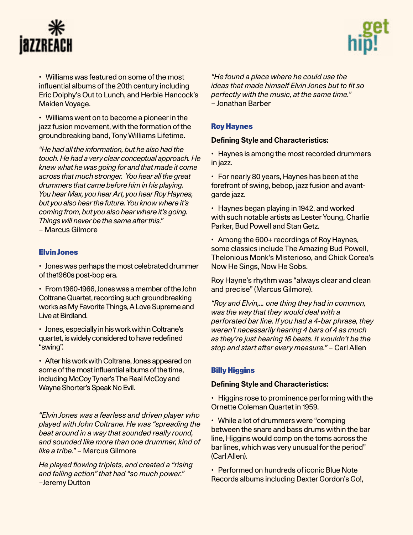



• Williams was featured on some of the most influential albums of the 20th century including Eric Dolphy's Out to Lunch, and Herbie Hancock's Maiden Voyage.

• Williams went on to become a pioneer in the jazz fusion movement, with the formation of the groundbreaking band, Tony Williams Lifetime.

*"He had all the information, but he also had the touch. He had a very clear conceptual approach. He knew what he was going for and that made it come across that much stronger. You hear all the great drummers that came before him in his playing. You hear Max, you hear Art, you hear Roy Haynes, but you also hear the future. You know where it's coming from, but you also hear where it's going. Things will never be the same after this."* – Marcus Gilmore

# [Elvin Jones](https://en.wikipedia.org/wiki/Elvin_Jones)

• Jones was perhaps the most celebrated drummer of the1960s post-bop era.

• From 1960-1966, Jones was a member of the John Coltrane Quartet, recording such groundbreaking works as My Favorite Things, A Love Supreme and Live at Birdland.

• Jones, especially in his work within Coltrane's quartet, is widely considered to have redefined "swing".

• After his work with Coltrane, Jones appeared on some of the most influential albums of the time, including McCoy Tyner's The Real McCoy and Wayne Shorter's Speak No Evil.

*"Elvin Jones was a fearless and driven player who played with John Coltrane. He was "spreading the beat around in a way that sounded really round, and sounded like more than one drummer, kind of like a tribe."* – Marcus Gilmore

*He played flowing triplets, and created a "rising and falling action" that had "so much power."* –Jeremy Dutton

*"He found a place where he could use the ideas that made himself Elvin Jones but to fit so perfectly with the music, at the same time."*  – Jonathan Barber

# [Roy Haynes](https://en.wikipedia.org/wiki/Roy_Haynes)

#### **Defining Style and Characteristics:**

• Haynes is among the most recorded drummers in jazz.

• For nearly 80 years, Haynes has been at the forefront of swing, bebop, jazz fusion and avantgarde jazz.

• Haynes began playing in 1942, and worked with such notable artists as Lester Young, Charlie Parker, Bud Powell and Stan Getz.

• Among the 600+ recordings of Roy Haynes, some classics include The Amazing Bud Powell, Thelonious Monk's Misterioso, and Chick Corea's Now He Sings, Now He Sobs.

Roy Hayne's rhythm was "always clear and clean and precise" (Marcus Gilmore).

*"Roy and Elvin,… one thing they had in common, was the way that they would deal with a perforated bar line. If you had a 4-bar phrase, they weren't necessarily hearing 4 bars of 4 as much as they're just hearing 16 beats. It wouldn't be the stop and start after every measure."* – Carl Allen

# [Billy Higgins](https://en.wikipedia.org/wiki/Billy_Higgins)

#### **Defining Style and Characteristics:**

• Higgins rose to prominence performing with the Ornette Coleman Quartet in 1959.

• While a lot of drummers were "comping between the snare and bass drums within the bar line, Higgins would comp on the toms across the bar lines, which was very unusual for the period" (Carl Allen).

• Performed on hundreds of iconic Blue Note Records albums including Dexter Gordon's Go!,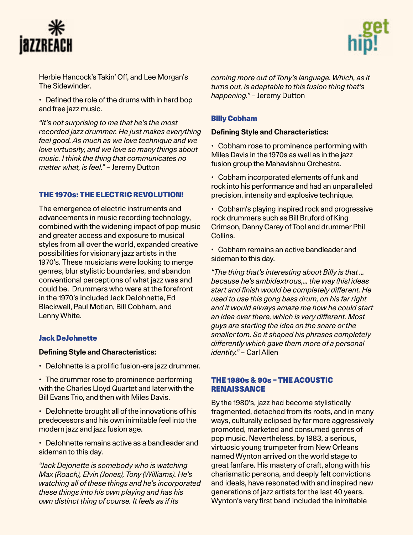



Herbie Hancock's Takin' Off, and Lee Morgan's The Sidewinder.

• Defined the role of the drums with in hard bop and free jazz music.

*"It's not surprising to me that he's the most recorded jazz drummer. He just makes everything feel good. As much as we love technique and we love virtuosity, and we love so many things about music. I think the thing that communicates no matter what, is feel."* – Jeremy Dutton

#### THE 1970s: THE ELECTRIC REVOLUTION!

The emergence of electric instruments and advancements in music recording technology, combined with the widening impact of pop music and greater access and exposure to musical styles from all over the world, expanded creative possibilities for visionary jazz artists in the 1970's. These musicians were looking to merge genres, blur stylistic boundaries, and abandon conventional perceptions of what jazz was and could be. Drummers who were at the forefront in the 1970's included Jack DeJohnette, Ed Blackwell, Paul Motian, Bill Cobham, and Lenny White.

#### [Jack DeJohnette](https://en.wikipedia.org/wiki/Jack_DeJohnette)

#### **Defining Style and Characteristics:**

- DeJohnette is a prolific fusion-era jazz drummer.
- The drummer rose to prominence performing with the Charles Lloyd Quartet and later with the Bill Evans Trio, and then with Miles Davis.
- DeJohnette brought all of the innovations of his predecessors and his own inimitable feel into the modern jazz and jazz fusion age.
- DeJohnette remains active as a bandleader and sideman to this day.

*"Jack Dejonette is somebody who is watching Max (Roach), Elvin (Jones), Tony (Williams). He's watching all of these things and he's incorporated these things into his own playing and has his own distinct thing of course. It feels as if its* 

*coming more out of Tony's language. Which, as it turns out, is adaptable to this fusion thing that's happening."* – Jeremy Dutton

#### [Billy Cobham](https://en.wikipedia.org/wiki/Billy_Cobham)

#### **Defining Style and Characteristics:**

• Cobham rose to prominence performing with Miles Davis in the 1970s as well as in the jazz fusion group the Mahavishnu Orchestra.

• Cobham incorporated elements of funk and rock into his performance and had an unparalleled precision, intensity and explosive technique.

• Cobham's playing inspired rock and progressive rock drummers such as Bill Bruford of King Crimson, Danny Carey of Tool and drummer Phil Collins.

• Cobham remains an active bandleader and sideman to this day.

*"The thing that's interesting about Billy is that … because he's ambidextrous,… the way (his) ideas start and finish would be completely different. He used to use this gong bass drum, on his far right and it would always amaze me how he could start an idea over there, which is very different. Most guys are starting the idea on the snare or the smaller tom. So it shaped his phrases completely differently which gave them more of a personal identity."* – Carl Allen

#### THE 1980s & 90s – THE ACOUSTIC RENAISSANCE

By the 1980's, jazz had become stylistically fragmented, detached from its roots, and in many ways, culturally eclipsed by far more aggressively promoted, marketed and consumed genres of pop music. Nevertheless, by 1983, a serious, virtuosic young trumpeter from New Orleans named Wynton arrived on the world stage to great fanfare. His mastery of craft, along with his charismatic persona, and deeply felt convictions and ideals, have resonated with and inspired new generations of jazz artists for the last 40 years. Wynton's very first band included the inimitable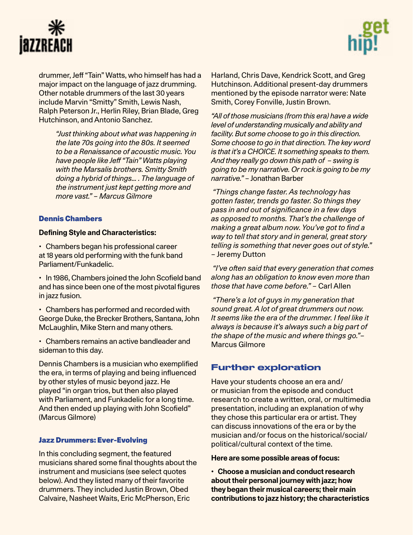



drummer, Jeff "Tain" Watts, who himself has had a major impact on the language of jazz drumming. Other notable drummers of the last 30 years include Marvin "Smitty" Smith, Lewis Nash, Ralph Peterson Jr., Herlin Riley, Brian Blade, Greg Hutchinson, and Antonio Sanchez.

> *"Just thinking about what was happening in the late 70s going into the 80s. It seemed to be a Renaissance of acoustic music. You have people like Jeff "Tain" Watts playing with the Marsalis brothers. Smitty Smith doing a hybrid of things… . The language of the instrument just kept getting more and more vast." – Marcus Gilmore*

#### [Dennis Chambers](https://en.wikipedia.org/wiki/Dennis_Chambers)

#### **Defining Style and Characteristics:**

• Chambers began his professional career at 18 years old performing with the funk band Parliament/Funkadelic.

• In 1986, Chambers joined the John Scofield band and has since been one of the most pivotal figures in jazz fusion.

• Chambers has performed and recorded with George Duke, the Brecker Brothers, Santana, John McLaughlin, Mike Stern and many others.

• Chambers remains an active bandleader and sideman to this day.

Dennis Chambers is a musician who exemplified the era, in terms of playing and being influenced by other styles of music beyond jazz. He played "in organ trios, but then also played with Parliament, and Funkadelic for a long time. And then ended up playing with John Scofield" (Marcus Gilmore)

# Jazz Drummers: Ever-Evolving

In this concluding segment, the featured musicians shared some final thoughts about the instrument and musicians (see select quotes below). And they listed many of their favorite drummers. They included Justin Brown, Obed Calvaire, Nasheet Waits, Eric McPherson, Eric

Harland, Chris Dave, Kendrick Scott, and Greg Hutchinson. Additional present-day drummers mentioned by the episode narrator were: Nate Smith, Corey Fonville, Justin Brown.

*"All of those musicians (from this era) have a wide level of understanding musically and ability and facility. But some choose to go in this direction. Some choose to go in that direction. The key word is that it's a CHOICE. It something speaks to them. And they really go down this path of – swing is going to be my narrative. Or rock is going to be my narrative."* – Jonathan Barber

 *"Things change faster. As technology has gotten faster, trends go faster. So things they pass in and out of significance in a few days as opposed to months. That's the challenge of making a great album now. You've got to find a way to tell that story and in general, great story telling is something that never goes out of style." –* Jeremy Dutton

 *"I've often said that every generation that comes along has an obligation to know even more than those that have come before."* – Carl Allen

 *"There's a lot of guys in my generation that sound great. A lot of great drummers out now. It seems like the era of the drummer. I feel like it always is because it's always such a big part of the shape of the music and where things go."*– Marcus Gilmore

# Further exploration

Have your students choose an era and/ or musician from the episode and conduct research to create a written, oral, or multimedia presentation, including an explanation of why they chose this particular era or artist. They can discuss innovations of the era or by the musician and/or focus on the historical/social/ political/cultural context of the time.

#### **Here are some possible areas of focus:**

**• Choose a musician and conduct research about their personal journey with jazz; how they began their musical careers; their main contributions to jazz history; the characteristics**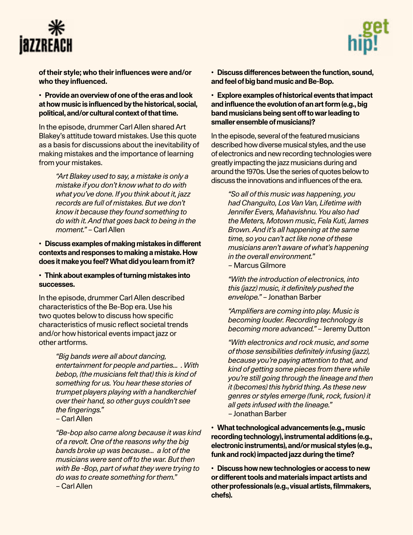



**of their style; who their influences were and/or who they influenced.**

**• Provide an overview of one of the eras and look at how music is influenced by the historical, social, political, and/or cultural context of that time.** 

In the episode, drummer Carl Allen shared Art Blakey's attitude toward mistakes. Use this quote as a basis for discussions about the inevitability of making mistakes and the importance of learning from your mistakes.

> *"Art Blakey used to say, a mistake is only a mistake if you don't know what to do with what you've done. If you think about it, jazz records are full of mistakes. But we don't know it because they found something to do with it. And that goes back to being in the moment."* – Carl Allen

**• Discuss examples of making mistakes in different contexts and responses to making a mistake. How does it make you feel? What did you learn from it?** 

**• Think about examples of turning mistakes into successes.**

In the episode, drummer Carl Allen described characteristics of the Be-Bop era. Use his two quotes below to discuss how specific characteristics of music reflect societal trends and/or how historical events impact jazz or other artforms.

> *"Big bands were all about dancing, entertainment for people and parties… . With bebop, (the musicians felt that) this is kind of something for us. You hear these stories of trumpet players playing with a handkerchief over their hand, so other guys couldn't see the fingerings."*

– Carl Allen

*"Be-bop also came along because it was kind of a revolt. One of the reasons why the big bands broke up was because… a lot of the musicians were sent off to the war. But then with Be -Bop, part of what they were trying to do was to create something for them."* – Carl Allen

**• Discuss differences between the function, sound, and feel of big band music and Be-Bop.**

**• Explore examples of historical events that impact and influence the evolution of an art form (e.g., big band musicians being sent off to war leading to smaller ensemble of musicians)?**

In the episode, several of the featured musicians described how diverse musical styles, and the use of electronics and new recording technologies were greatly impacting the jazz musicians during and around the 1970s. Use the series of quotes below to discuss the innovations and influences of the era.

*"So all of this music was happening, you had Changuito, Los Van Van, Lifetime with Jennifer Evers, Mahavishnu. You also had the Meters, Motown music, Fela Kuti, James Brown. And it's all happening at the same time, so you can't act like none of these musicians aren't aware of what's happening in the overall environment."* – Marcus Gilmore

*"With the introduction of electronics, into this (jazz) music, it definitely pushed the envelope."* – Jonathan Barber

*"Amplifiers are coming into play. Music is becoming louder. Recording technology is becoming more advanced."* – Jeremy Dutton

*"With electronics and rock music, and some of those sensibilities definitely infusing (jazz), because you're paying attention to that, and kind of getting some pieces from there while you're still going through the lineage and then it (becomes) this hybrid thing. As these new genres or styles emerge (funk, rock, fusion) it all gets infused with the lineage."* – Jonathan Barber

**• What technological advancements (e.g., music recording technology), instrumental additions (e.g., electronic instruments), and/or musical styles (e.g., funk and rock) impacted jazz during the time?**

**• Discuss how new technologies or access to new or different tools and materials impact artists and other professionals (e.g., visual artists, filmmakers, chefs).**